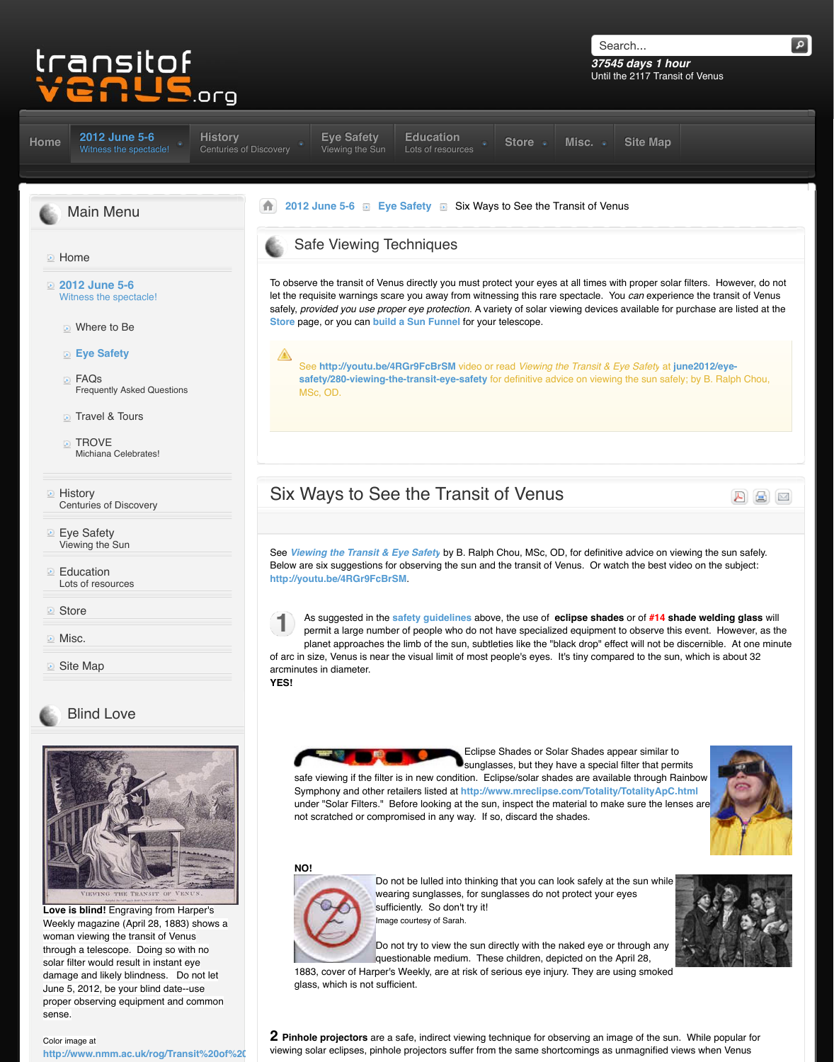- Travel & Tours
- **TROVE** Michiana Celebrates!
- **E** History Centuries of Discovery
- **Eye Safety** Vi[ewing the Sun](http://www.transitofvenus.org/june2012)
- **[Ed](http://www.transitofvenus.org/)ucation** Lots of resources
- **Store**
- **Misc.**
- **D** [Site Map](http://www.transitofvenus.org/)



## [Blind Love](http://www.transitofvenus.org/june2012)



**Love is blind!** Engraving from Harper's [Weekly magazine \(April 28, 1883\) shows a](http://www.transitofvenus.org/history) woman viewing the transit of Venus [through a telescope. Doing so with no](http://www.transitofvenus.org/june2012/eye-safety) solar filter would result in instant eye damage and likely blindness. Do not let June 5, 2012, be your blind date--use [proper observing equipment and common](http://www.transitofvenus.org/education) sense.

### [Color image at](http://www.transitofvenus.org/store) [http://www.nmm.ac.uk/rog/Transit%20of%](http://www.transitofvenus.org/misc)20

# Six Ways to See the Transit of

See Vie[wing the Transit & E](http://www.transitofvenus.org/june2012/eye-safety)ye Safety by B. Ralph [Below are](http://www.transitofvenus.org/history) six suggestions for observing the sun and **http://youtu.be/4RGr9FcBrSM**.



As suggested in the safety guidelines above [permit a large](http://www.transitofvenus.org/june2012) [number of people](http://www.transitofvenus.org/june2012/eye-safety) who do not is planet approaches the limb of the sun, subtle of arc in size, Venus is near the visual limit of most people

arcminutes in diameter. **YES!**



Symphony and other retailers listed at **http://ww** under "Solar Filters." Before looking at the sun not scratched or compromised in any way. If so

#### **NO!**



Do not be lulled into thinking wearing sunglasses, for sung sufficiently. So don't try it! Image courtesy of Sarah.

Do not try to view the sun directly both our the nature or the nature of the nature or the nature or through and the nature or through and the nature of the network. questionable medium. Thes

[1883, cover of Harper's Weekly, a](http://www.transitofvenus.org/june2012/eye-safety/280-viewing-the-transit-eye-safety)re at risk of serious glass, which is not sufficient.

**2 Pinhole projectors** are [a safe, indirect view](http://www.transitofvenus.org/june2012/eye-safety/280-viewing-the-transit-eye-safety)ing te viewing solar eclipses, pinhole projectors suffer from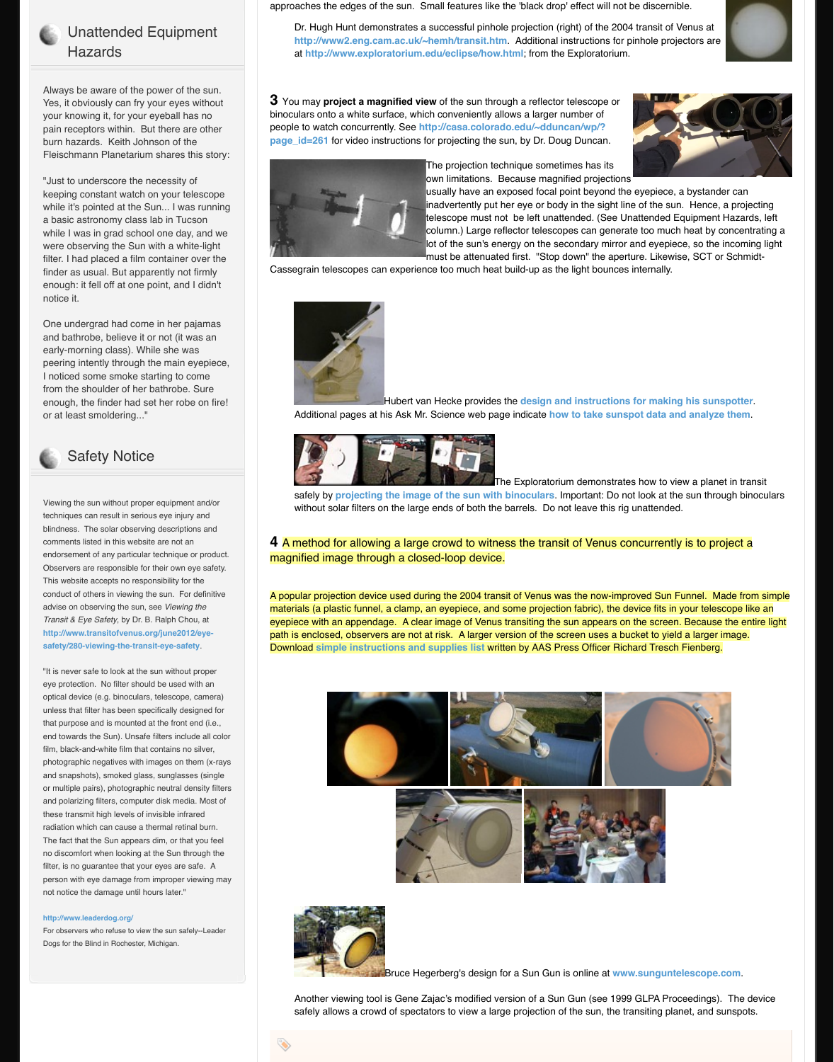#### or at least smoldering..."



## Safety Notice

Viewing the sun without proper equipment and/or techniques can result in serious eye injury and blindness. The solar observing descriptions and comments listed in this website are not an endorsement of any particular technique or product. Observers are responsible for their own eye safety. This website accepts no responsibility for the conduct of others in viewing the sun. For definitive advise on observing the sun, see *Viewing the Transit & Eye Safety*, by Dr. B. Ralph Chou, at **http://www.transitofvenus.org/june2012/eyesafety/280-viewing-the-transit-eye-safety**.

"It is never safe to look at the sun without proper eye protection. No filter should be used with an optical device (e.g. binoculars, telescope, camera) unless that filter has been specifically designed for that purpose and is mounted at the front end (i.e., end towards the Sun). Unsafe filters include all color film, black-and-white film that contains no silver, photographic negatives with images on them (x-rays and snapshots), smoked glass, sunglasses (single or multiple pairs), photographic neutral density filters and polarizing filters, computer disk media. Most of these transmit high levels of invisible infrared radiation which can cause a thermal retinal burn. The fact that the Sun appears dim, or that you feel no discomfort when looking at the Sun through the filter, is no guarantee that your eyes are safe. A person with eye damage from improper viewing may not notice the damage until hours later."

#### **http://www.leaderdog.org/**

For observers who refuse to view the sun safely--Leader Dogs for the Blind in Rochester, Michigan.

#### Additional pages at his Ask Mr. Science web page indicate **how to take sunspot data and analyze them**.



safely by **projecting the image of the sun wit** without solar filters on the large ends of both the

## **4** A method for allowing a large crowd to witn magnified image through a closed-loop device

A popular projection device used during the 2004 transite A materials (a plastic funnel, a clamp, an eyepiece, and eyepiece with an appendage. A clear image of Venu path is enclosed, observers are not at risk. A larger version of the screen uses a bucket to a larger Download simple instructions and supplies list wr







**Bruce Hegerberg's design** 

Another viewing tool is Gene Zajac's modified v safely allows a crowd of spectators to view a la